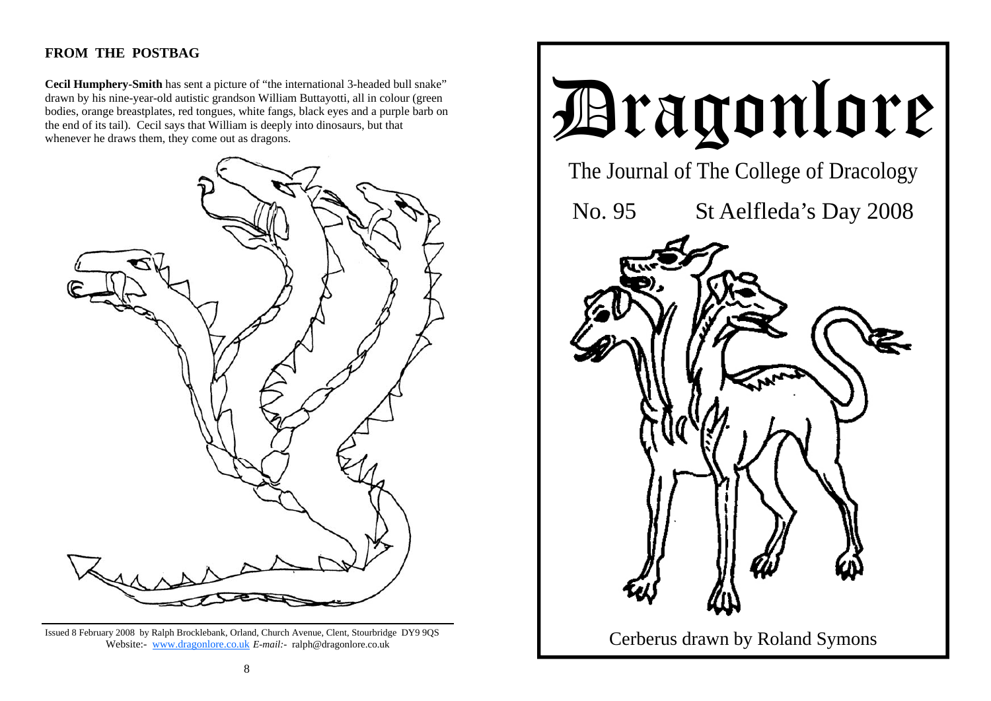# **FROM THE POSTBAG**

**Cecil Humphery-Smith** has sent a picture of "the international 3-headed bull snake" drawn by his nine-year-old autistic grandson William Buttayotti, all in colour (green bodies, orange breastplates, red tongues, white fangs, black eyes and a purple barb on the end of its tail). Cecil says that William is deeply into dinosaurs, but that whenever he draws them, they come out as dragons.



Issued 8 February 2008 by Ralph Brocklebank, Orland, Church Avenue, Clent, Stourbridge DY9 9QS Website:- www.dragonlore.co.uk *E-mail:-* ralph@dragonlore.co.uk

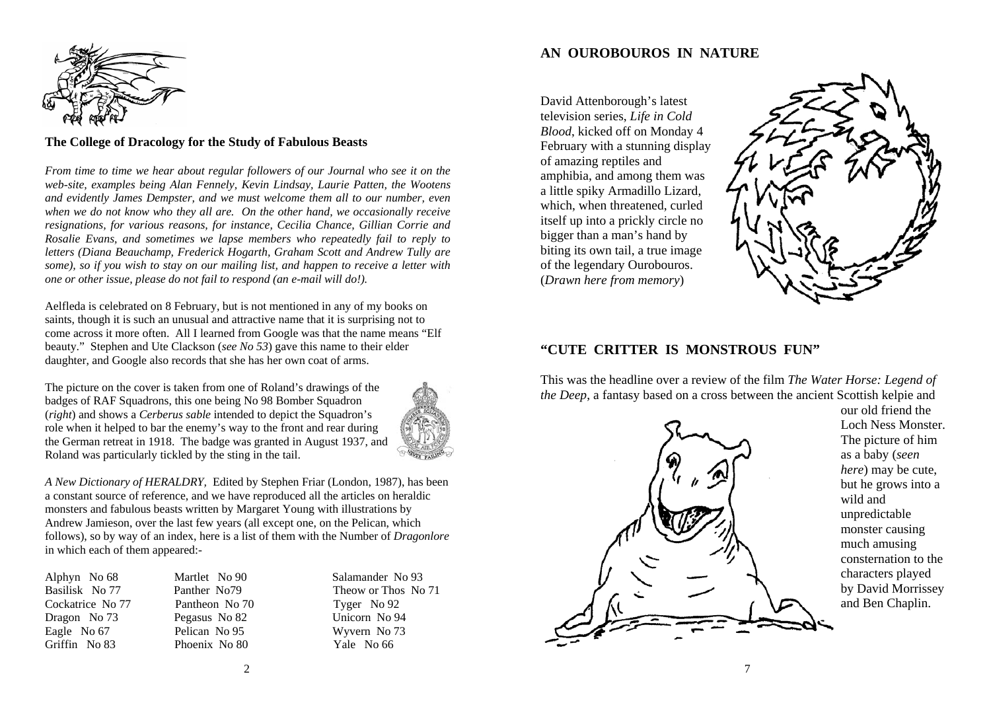

#### **The College of Dracology for the Study of Fabulous Beasts**

*From time to time we hear about regular followers of our Journal who see it on the web-site, examples being Alan Fennely, Kevin Lindsay, Laurie Patten, the Wootens and evidently James Dempster, and we must welcome them all to our number, even when we do not know who they all are. On the other hand, we occasionally receive resignations, for various reasons, for instance, Cecilia Chance, Gillian Corrie and Rosalie Evans, and sometimes we lapse members who repeatedly fail to reply to letters (Diana Beauchamp, Frederick Hogarth, Graham Scott and Andrew Tully are some), so if you wish to stay on our mailing list, and happen to receive a letter with one or other issue, please do not fail to respond (an e-mail will do!).* 

Aelfleda is celebrated on 8 February, but is not mentioned in any of my books on saints, though it is such an unusual and attractive name that it is surprising not to come across it more often. All I learned from Google was that the name means "Elf beauty." Stephen and Ute Clackson (*see No 53*) gave this name to their elder daughter, and Google also records that she has her own coat of arms.

The picture on the cover is taken from one of Roland's drawings of the badges of RAF Squadrons, this one being No 98 Bomber Squadron (*right*) and shows a *Cerberus sable* intended to depict the Squadron's role when it helped to bar the enemy's way to the front and rear during the German retreat in 1918. The badge was granted in August 1937, and Roland was particularly tickled by the sting in the tail.



*A New Dictionary of HERALDRY,* Edited by Stephen Friar (London, 1987), has been a constant source of reference, and we have reproduced all the articles on heraldic monsters and fabulous beasts written by Margaret Young with illustrations by Andrew Jamieson, over the last few years (all except one, on the Pelican, which follows), so by way of an index, here is a list of them with the Number of *Dragonlore* in which each of them appeared:-

| Alphyn No 68      | Martlet No 90   | Salamander No 93    |
|-------------------|-----------------|---------------------|
| Basilisk No. 77   | Panther No79    | Theow or Thos No 71 |
| Cockatrice No. 77 | Pantheon No. 70 | Tyger No 92         |
| Dragon No. 73     | Pegasus No 82   | Unicorn No 94       |
| Eagle No 67       | Pelican No 95   | Wyvern No 73        |
| Griffin No 83     | Phoenix No 80   | Yale No 66          |

## **AN OUROBOUROS IN NATURE**

David Attenborough's latest television series, *Life in Cold Blood*, kicked off on Monday 4 February with a stunning display of amazing reptiles and amphibia, and among them was a little spiky Armadillo Lizard, which, when threatened, curled itself up into a prickly circle no bigger than a man's hand by biting its own tail, a true image of the legendary Ourobouros. (*Drawn here from memory*)



### **"CUTE CRITTER IS MONSTROUS FUN"**

This was the headline over a review of the film *The Water Horse: Legend of the Deep*, a fantasy based on a cross between the ancient Scottish kelpie and



our old friend the Loch Ness Monster. The picture of him as a baby (*seen here*) may be cute, but he grows into a wild and unpredictable monster causing much amusing consternation to the characters played by David Morrissey and Ben Chaplin.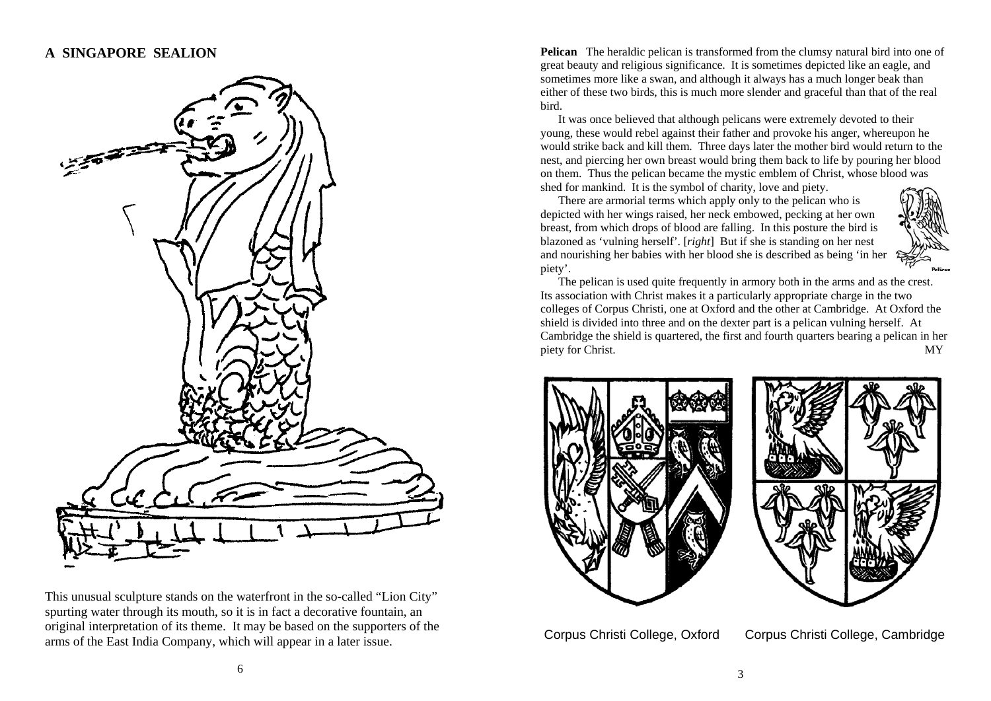## **A SINGAPORE SEALION**



This unusual sculpture stands on the waterfront in the so-called "Lion City" spurting water through its mouth, so it is in fact a decorative fountain, an original interpretation of its theme. It may be based on the supporters of the arms of the East India Company, which will appear in a later issue.

**Pelican** The heraldic pelican is transformed from the clumsy natural bird into one of great beauty and religious significance. It is sometimes depicted like an eagle, and sometimes more like a swan, and although it always has a much longer beak than either of these two birds, this is much more slender and graceful than that of the real bird.

 It was once believed that although pelicans were extremely devoted to their young, these would rebel against their father and provoke his anger, whereupon he would strike back and kill them. Three days later the mother bird would return to the nest, and piercing her own breast would bring them back to life by pouring her blood on them. Thus the pelican became the mystic emblem of Christ, whose blood was shed for mankind. It is the symbol of charity, love and piety.

 There are armorial terms which apply only to the pelican who is depicted with her wings raised, her neck embowed, pecking at her own breast, from which drops of blood are falling. In this posture the bird is blazoned as 'vulning herself'. [*right*] But if she is standing on her nest and nourishing her babies with her blood she is described as being 'in her piety'.



 The pelican is used quite frequently in armory both in the arms and as the crest. Its association with Christ makes it a particularly appropriate charge in the two colleges of Corpus Christi, one at Oxford and the other at Cambridge. At Oxford the shield is divided into three and on the dexter part is a pelican vulning herself. At Cambridge the shield is quartered, the first and fourth quarters bearing a pelican in her piety for Christ. MY





Corpus Christi College, Oxford Corpus Christi College, Cambridge